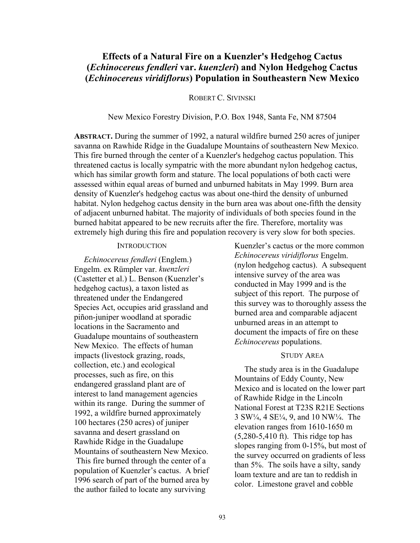# **Effects of a Natural Fire on a Kuenzler's Hedgehog Cactus (***Echinocereus fendleri* **var.** *kuenzleri***) and Nylon Hedgehog Cactus (***Echinocereus viridiflorus***) Population in Southeastern New Mexico**

### ROBERT C. SIVINSKI

### New Mexico Forestry Division, P.O. Box 1948, Santa Fe, NM 87504

**ABSTRACT.** During the summer of 1992, a natural wildfire burned 250 acres of juniper savanna on Rawhide Ridge in the Guadalupe Mountains of southeastern New Mexico. This fire burned through the center of a Kuenzler's hedgehog cactus population. This threatened cactus is locally sympatric with the more abundant nylon hedgehog cactus, which has similar growth form and stature. The local populations of both cacti were assessed within equal areas of burned and unburned habitats in May 1999. Burn area density of Kuenzler's hedgehog cactus was about one-third the density of unburned habitat. Nylon hedgehog cactus density in the burn area was about one-fifth the density of adjacent unburned habitat. The majority of individuals of both species found in the burned habitat appeared to be new recruits after the fire. Therefore, mortality was extremely high during this fire and population recovery is very slow for both species.

### **INTRODUCTION**

*Echinocereus fendleri* (Englem.) Engelm. ex Rümpler var. *kuenzleri* (Castetter et al.) L. Benson (Kuenzler's hedgehog cactus), a taxon listed as threatened under the Endangered Species Act, occupies arid grassland and piñon-juniper woodland at sporadic locations in the Sacramento and Guadalupe mountains of southeastern New Mexico. The effects of human impacts (livestock grazing, roads, collection, etc.) and ecological processes, such as fire, on this endangered grassland plant are of interest to land management agencies within its range. During the summer of 1992, a wildfire burned approximately 100 hectares (250 acres) of juniper savanna and desert grassland on Rawhide Ridge in the Guadalupe Mountains of southeastern New Mexico. This fire burned through the center of a population of Kuenzler's cactus. A brief 1996 search of part of the burned area by the author failed to locate any surviving

Kuenzler's cactus or the more common *Echinocereus viridiflorus* Engelm. (nylon hedgehog cactus). A subsequent intensive survey of the area was conducted in May 1999 and is the subject of this report. The purpose of this survey was to thoroughly assess the burned area and comparable adjacent unburned areas in an attempt to document the impacts of fire on these *Echinocereus* populations.

### STUDY AREA

The study area is in the Guadalupe Mountains of Eddy County, New Mexico and is located on the lower part of Rawhide Ridge in the Lincoln National Forest at T23S R21E Sections 3 SW¼, 4 SE¼, 9, and 10 NW¼. The elevation ranges from 1610-1650 m (5,280-5,410 ft). This ridge top has slopes ranging from 0-15%, but most of the survey occurred on gradients of less than 5%. The soils have a silty, sandy loam texture and are tan to reddish in color. Limestone gravel and cobble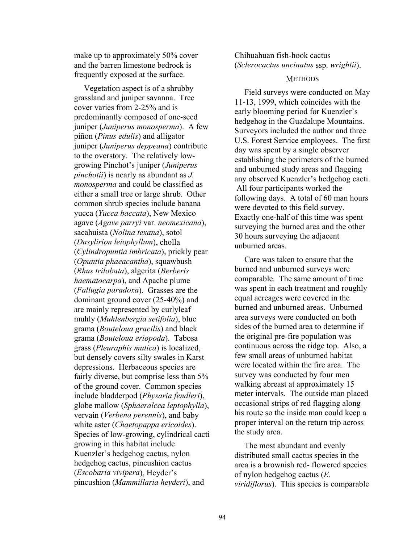make up to approximately 50% cover and the barren limestone bedrock is frequently exposed at the surface.

Vegetation aspect is of a shrubby grassland and juniper savanna. Tree cover varies from 2-25% and is predominantly composed of one-seed juniper (*Juniperus monosperma*). A few piñon (*Pinus edulis*) and alligator juniper (*Juniperus deppeana*) contribute to the overstory. The relatively lowgrowing Pinchot's juniper (*Juniperus pinchotii*) is nearly as abundant as *J. monosperma* and could be classified as either a small tree or large shrub. Other common shrub species include banana yucca (*Yucca baccata*), New Mexico agave (*Agave parryi* var. *neomexicana*), sacahuista (*Nolina texana*), sotol (*Dasylirion leiophyllum*), cholla (*Cylindropuntia imbricata*), prickly pear (*Opuntia phaeacantha*), squawbush (*Rhus trilobata*), algerita (*Berberis haematocarpa*), and Apache plume (*Fallugia paradoxa*). Grasses are the dominant ground cover (25-40%) and are mainly represented by curlyleaf muhly (*Muhlenbergia setifolia*), blue grama (*Bouteloua gracilis*) and black grama (*Bouteloua eriopoda*). Tabosa grass (*Pleuraphis mutica*) is localized, but densely covers silty swales in Karst depressions. Herbaceous species are fairly diverse, but comprise less than 5% of the ground cover. Common species include bladderpod (*Physaria fendleri*), globe mallow (*Sphaeralcea leptophylla*), vervain (*Verbena perennis*), and baby white aster (*Chaetopappa ericoides*). Species of low-growing, cylindrical cacti growing in this habitat include Kuenzler's hedgehog cactus, nylon hedgehog cactus, pincushion cactus (*Escobaria vivipera*), Heyder's pincushion (*Mammillaria heyderi*), and

# Chihuahuan fish-hook cactus (*Sclerocactus uncinatus* ssp. *wrightii*).

# **METHODS**

Field surveys were conducted on May 11-13, 1999, which coincides with the early blooming period for Kuenzler's hedgehog in the Guadalupe Mountains. Surveyors included the author and three U.S. Forest Service employees. The first day was spent by a single observer establishing the perimeters of the burned and unburned study areas and flagging any observed Kuenzler's hedgehog cacti. All four participants worked the following days. A total of 60 man hours were devoted to this field survey. Exactly one-half of this time was spent surveying the burned area and the other 30 hours surveying the adjacent unburned areas.

Care was taken to ensure that the burned and unburned surveys were comparable. The same amount of time was spent in each treatment and roughly equal acreages were covered in the burned and unburned areas. Unburned area surveys were conducted on both sides of the burned area to determine if the original pre-fire population was continuous across the ridge top. Also, a few small areas of unburned habitat were located within the fire area. The survey was conducted by four men walking abreast at approximately 15 meter intervals. The outside man placed occasional strips of red flagging along his route so the inside man could keep a proper interval on the return trip across the study area.

The most abundant and evenly distributed small cactus species in the area is a brownish red- flowered species of nylon hedgehog cactus (*E. viridiflorus*). This species is comparable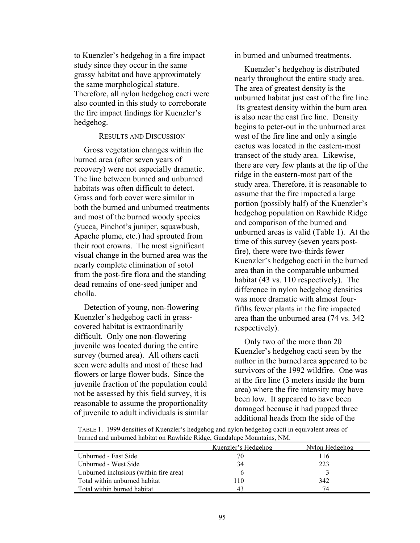to Kuenzler's hedgehog in a fire impact study since they occur in the same grassy habitat and have approximately the same morphological stature. Therefore, all nylon hedgehog cacti were also counted in this study to corroborate the fire impact findings for Kuenzler's hedgehog.

#### RESULTS AND DISCUSSION

Gross vegetation changes within the burned area (after seven years of recovery) were not especially dramatic. The line between burned and unburned habitats was often difficult to detect. Grass and forb cover were similar in both the burned and unburned treatments and most of the burned woody species (yucca, Pinchot's juniper, squawbush, Apache plume, etc.) had sprouted from their root crowns. The most significant visual change in the burned area was the nearly complete elimination of sotol from the post-fire flora and the standing dead remains of one-seed juniper and cholla.

Detection of young, non-flowering Kuenzler's hedgehog cacti in grasscovered habitat is extraordinarily difficult. Only one non-flowering juvenile was located during the entire survey (burned area). All others cacti seen were adults and most of these had flowers or large flower buds. Since the juvenile fraction of the population could not be assessed by this field survey, it is reasonable to assume the proportionality of juvenile to adult individuals is similar in burned and unburned treatments.

Kuenzler's hedgehog is distributed nearly throughout the entire study area. The area of greatest density is the unburned habitat just east of the fire line. Its greatest density within the burn area is also near the east fire line. Density begins to peter-out in the unburned area west of the fire line and only a single cactus was located in the eastern-most transect of the study area. Likewise, there are very few plants at the tip of the ridge in the eastern-most part of the study area. Therefore, it is reasonable to assume that the fire impacted a large portion (possibly half) of the Kuenzler's hedgehog population on Rawhide Ridge and comparison of the burned and unburned areas is valid (Table 1). At the time of this survey (seven years postfire), there were two-thirds fewer Kuenzler's hedgehog cacti in the burned area than in the comparable unburned habitat (43 vs. 110 respectively). The difference in nylon hedgehog densities was more dramatic with almost fourfifths fewer plants in the fire impacted area than the unburned area (74 vs. 342 respectively).

Only two of the more than 20 Kuenzler's hedgehog cacti seen by the author in the burned area appeared to be survivors of the 1992 wildfire. One was at the fire line (3 meters inside the burn area) where the fire intensity may have been low. It appeared to have been damaged because it had pupped three additional heads from the side of the

| TABLE 1. 1999 densities of Kuenzler's hedgehog and nylon hedgehog cacti in equivalent areas of |                                     |
|------------------------------------------------------------------------------------------------|-------------------------------------|
| burned and unburned habitat on Rawhide Ridge, Guadalupe Mountains, NM.                         |                                     |
|                                                                                                | $N = 1$ . The $1 - 1$ . The $1 - 1$ |

|                                        | Kuenzler's Hedgehog | Nylon Hedgehog |
|----------------------------------------|---------------------|----------------|
| Unburned - East Side                   | 70                  | 116            |
| Unburned - West Side                   | 34                  | 223            |
| Unburned inclusions (within fire area) |                     |                |
| Total within unburned habitat          | l 10                | 342            |
| Total within burned habitat            | 43                  | 74             |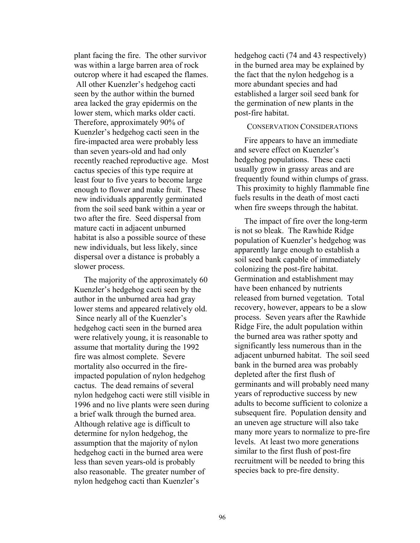plant facing the fire. The other survivor was within a large barren area of rock outcrop where it had escaped the flames. All other Kuenzler's hedgehog cacti seen by the author within the burned area lacked the gray epidermis on the lower stem, which marks older cacti. Therefore, approximately 90% of Kuenzler's hedgehog cacti seen in the fire-impacted area were probably less than seven years-old and had only recently reached reproductive age. Most cactus species of this type require at least four to five years to become large enough to flower and make fruit. These new individuals apparently germinated from the soil seed bank within a year or two after the fire. Seed dispersal from mature cacti in adjacent unburned habitat is also a possible source of these new individuals, but less likely, since dispersal over a distance is probably a slower process.

The majority of the approximately 60 Kuenzler's hedgehog cacti seen by the author in the unburned area had gray lower stems and appeared relatively old. Since nearly all of the Kuenzler's hedgehog cacti seen in the burned area were relatively young, it is reasonable to assume that mortality during the 1992 fire was almost complete. Severe mortality also occurred in the fireimpacted population of nylon hedgehog cactus. The dead remains of several nylon hedgehog cacti were still visible in 1996 and no live plants were seen during a brief walk through the burned area. Although relative age is difficult to determine for nylon hedgehog, the assumption that the majority of nylon hedgehog cacti in the burned area were less than seven years-old is probably also reasonable. The greater number of nylon hedgehog cacti than Kuenzler's

hedgehog cacti (74 and 43 respectively) in the burned area may be explained by the fact that the nylon hedgehog is a more abundant species and had established a larger soil seed bank for the germination of new plants in the post-fire habitat.

### CONSERVATION CONSIDERATIONS

Fire appears to have an immediate and severe effect on Kuenzler's hedgehog populations. These cacti usually grow in grassy areas and are frequently found within clumps of grass. This proximity to highly flammable fine fuels results in the death of most cacti when fire sweeps through the habitat.

The impact of fire over the long-term is not so bleak. The Rawhide Ridge population of Kuenzler's hedgehog was apparently large enough to establish a soil seed bank capable of immediately colonizing the post-fire habitat. Germination and establishment may have been enhanced by nutrients released from burned vegetation. Total recovery, however, appears to be a slow process. Seven years after the Rawhide Ridge Fire, the adult population within the burned area was rather spotty and significantly less numerous than in the adjacent unburned habitat. The soil seed bank in the burned area was probably depleted after the first flush of germinants and will probably need many years of reproductive success by new adults to become sufficient to colonize a subsequent fire. Population density and an uneven age structure will also take many more years to normalize to pre-fire levels. At least two more generations similar to the first flush of post-fire recruitment will be needed to bring this species back to pre-fire density.